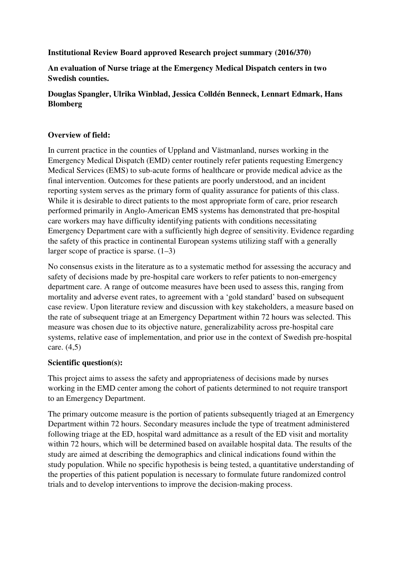#### **Institutional Review Board approved Research project summary (2016/370)**

### **An evaluation of Nurse triage at the Emergency Medical Dispatch centers in two Swedish counties.**

### **Douglas Spangler, Ulrika Winblad, Jessica Colldén Benneck, Lennart Edmark, Hans Blomberg**

#### **Overview of field:**

In current practice in the counties of Uppland and Västmanland, nurses working in the Emergency Medical Dispatch (EMD) center routinely refer patients requesting Emergency Medical Services (EMS) to sub-acute forms of healthcare or provide medical advice as the final intervention. Outcomes for these patients are poorly understood, and an incident reporting system serves as the primary form of quality assurance for patients of this class. While it is desirable to direct patients to the most appropriate form of care, prior research performed primarily in Anglo-American EMS systems has demonstrated that pre-hospital care workers may have difficulty identifying patients with conditions necessitating Emergency Department care with a sufficiently high degree of sensitivity. Evidence regarding the safety of this practice in continental European systems utilizing staff with a generally larger scope of practice is sparse.  $(1-3)$ 

No consensus exists in the literature as to a systematic method for assessing the accuracy and safety of decisions made by pre-hospital care workers to refer patients to non-emergency department care. A range of outcome measures have been used to assess this, ranging from mortality and adverse event rates, to agreement with a 'gold standard' based on subsequent case review. Upon literature review and discussion with key stakeholders, a measure based on the rate of subsequent triage at an Emergency Department within 72 hours was selected. This measure was chosen due to its objective nature, generalizability across pre-hospital care systems, relative ease of implementation, and prior use in the context of Swedish pre-hospital care. (4,5)

#### **Scientific question(s):**

This project aims to assess the safety and appropriateness of decisions made by nurses working in the EMD center among the cohort of patients determined to not require transport to an Emergency Department.

The primary outcome measure is the portion of patients subsequently triaged at an Emergency Department within 72 hours. Secondary measures include the type of treatment administered following triage at the ED, hospital ward admittance as a result of the ED visit and mortality within 72 hours, which will be determined based on available hospital data. The results of the study are aimed at describing the demographics and clinical indications found within the study population. While no specific hypothesis is being tested, a quantitative understanding of the properties of this patient population is necessary to formulate future randomized control trials and to develop interventions to improve the decision-making process.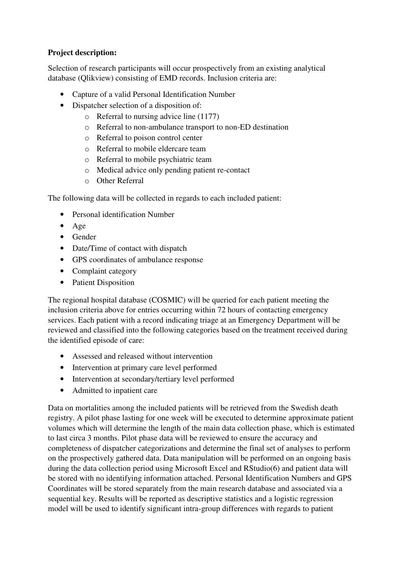### **Project description:**

Selection of research participants will occur prospectively from an existing analytical database (Qlikview) consisting of EMD records. Inclusion criteria are:

- Capture of a valid Personal Identification Number
- Dispatcher selection of a disposition of:
	- o Referral to nursing advice line (1177)
	- o Referral to non-ambulance transport to non-ED destination
	- o Referral to poison control center
	- o Referral to mobile eldercare team
	- o Referral to mobile psychiatric team
	- o Medical advice only pending patient re-contact
	- o Other Referral

The following data will be collected in regards to each included patient:

- Personal identification Number
- Age
- Gender
- Date/Time of contact with dispatch
- GPS coordinates of ambulance response
- Complaint category
- Patient Disposition

The regional hospital database (COSMIC) will be queried for each patient meeting the inclusion criteria above for entries occurring within 72 hours of contacting emergency services. Each patient with a record indicating triage at an Emergency Department will be reviewed and classified into the following categories based on the treatment received during the identified episode of care:

- Assessed and released without intervention
- Intervention at primary care level performed
- Intervention at secondary/tertiary level performed
- Admitted to inpatient care

Data on mortalities among the included patients will be retrieved from the Swedish death registry. A pilot phase lasting for one week will be executed to determine approximate patient volumes which will determine the length of the main data collection phase, which is estimated to last circa 3 months. Pilot phase data will be reviewed to ensure the accuracy and completeness of dispatcher categorizations and determine the final set of analyses to perform on the prospectively gathered data. Data manipulation will be performed on an ongoing basis during the data collection period using Microsoft Excel and RStudio(6) and patient data will be stored with no identifying information attached. Personal Identification Numbers and GPS Coordinates will be stored separately from the main research database and associated via a sequential key. Results will be reported as descriptive statistics and a logistic regression model will be used to identify significant intra-group differences with regards to patient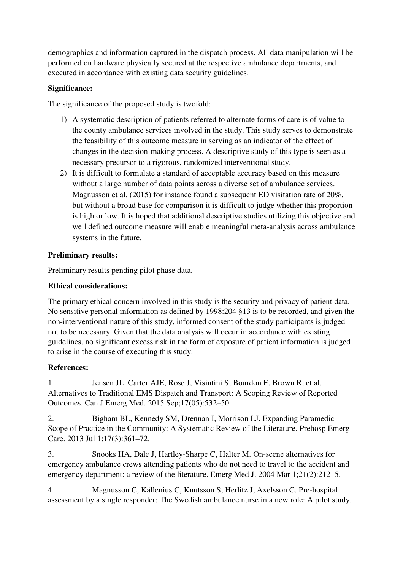demographics and information captured in the dispatch process. All data manipulation will be performed on hardware physically secured at the respective ambulance departments, and executed in accordance with existing data security guidelines.

## **Significance:**

The significance of the proposed study is twofold:

- 1) A systematic description of patients referred to alternate forms of care is of value to the county ambulance services involved in the study. This study serves to demonstrate the feasibility of this outcome measure in serving as an indicator of the effect of changes in the decision-making process. A descriptive study of this type is seen as a necessary precursor to a rigorous, randomized interventional study.
- 2) It is difficult to formulate a standard of acceptable accuracy based on this measure without a large number of data points across a diverse set of ambulance services. Magnusson et al. (2015) for instance found a subsequent ED visitation rate of 20%, but without a broad base for comparison it is difficult to judge whether this proportion is high or low. It is hoped that additional descriptive studies utilizing this objective and well defined outcome measure will enable meaningful meta-analysis across ambulance systems in the future.

## **Preliminary results:**

Preliminary results pending pilot phase data.

## **Ethical considerations:**

The primary ethical concern involved in this study is the security and privacy of patient data. No sensitive personal information as defined by 1998:204 §13 is to be recorded, and given the non-interventional nature of this study, informed consent of the study participants is judged not to be necessary. Given that the data analysis will occur in accordance with existing guidelines, no significant excess risk in the form of exposure of patient information is judged to arise in the course of executing this study.

# **References:**

1. Jensen JL, Carter AJE, Rose J, Visintini S, Bourdon E, Brown R, et al. Alternatives to Traditional EMS Dispatch and Transport: A Scoping Review of Reported Outcomes. Can J Emerg Med. 2015 Sep;17(05):532–50.

2. Bigham BL, Kennedy SM, Drennan I, Morrison LJ. Expanding Paramedic Scope of Practice in the Community: A Systematic Review of the Literature. Prehosp Emerg Care. 2013 Jul 1;17(3):361–72.

3. Snooks HA, Dale J, Hartley-Sharpe C, Halter M. On-scene alternatives for emergency ambulance crews attending patients who do not need to travel to the accident and emergency department: a review of the literature. Emerg Med J. 2004 Mar 1;21(2):212–5.

4. Magnusson C, Källenius C, Knutsson S, Herlitz J, Axelsson C. Pre-hospital assessment by a single responder: The Swedish ambulance nurse in a new role: A pilot study.